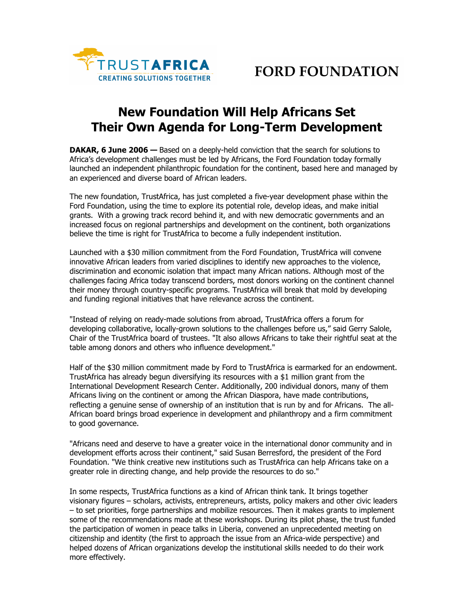

## **New Foundation Will Help Africans Set Their Own Agenda for Long-Term Development**

**DAKAR, 6 June 2006 —** Based on a deeply-held conviction that the search for solutions to Africa's development challenges must be led by Africans, the Ford Foundation today formally launched an independent philanthropic foundation for the continent, based here and managed by an experienced and diverse board of African leaders.

The new foundation, TrustAfrica, has just completed a five-year development phase within the Ford Foundation, using the time to explore its potential role, develop ideas, and make initial grants. With a growing track record behind it, and with new democratic governments and an increased focus on regional partnerships and development on the continent, both organizations believe the time is right for TrustAfrica to become a fully independent institution.

Launched with a \$30 million commitment from the Ford Foundation, TrustAfrica will convene innovative African leaders from varied disciplines to identify new approaches to the violence, discrimination and economic isolation that impact many African nations. Although most of the challenges facing Africa today transcend borders, most donors working on the continent channel their money through country-specific programs. TrustAfrica will break that mold by developing and funding regional initiatives that have relevance across the continent.

"Instead of relying on ready-made solutions from abroad, TrustAfrica offers a forum for developing collaborative, locally-grown solutions to the challenges before us," said Gerry Salole, Chair of the TrustAfrica board of trustees. "It also allows Africans to take their rightful seat at the table among donors and others who influence development."

Half of the \$30 million commitment made by Ford to TrustAfrica is earmarked for an endowment. TrustAfrica has already begun diversifying its resources with a \$1 million grant from the International Development Research Center. Additionally, 200 individual donors, many of them Africans living on the continent or among the African Diaspora, have made contributions, reflecting a genuine sense of ownership of an institution that is run by and for Africans. The all-African board brings broad experience in development and philanthropy and a firm commitment to good governance.

"Africans need and deserve to have a greater voice in the international donor community and in development efforts across their continent," said Susan Berresford, the president of the Ford Foundation. "We think creative new institutions such as TrustAfrica can help Africans take on a greater role in directing change, and help provide the resources to do so."

In some respects, TrustAfrica functions as a kind of African think tank. It brings together visionary figures – scholars, activists, entrepreneurs, artists, policy makers and other civic leaders – to set priorities, forge partnerships and mobilize resources. Then it makes grants to implement some of the recommendations made at these workshops. During its pilot phase, the trust funded the participation of women in peace talks in Liberia, convened an unprecedented meeting on citizenship and identity (the first to approach the issue from an Africa-wide perspective) and helped dozens of African organizations develop the institutional skills needed to do their work more effectively.